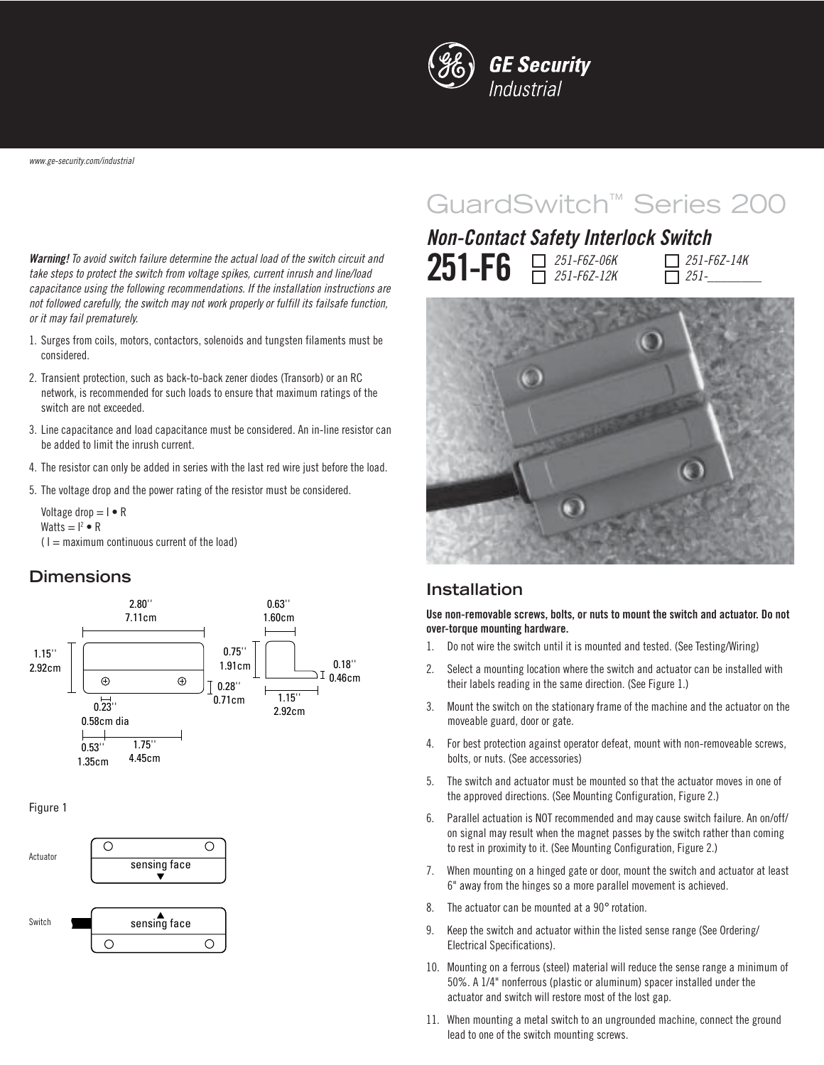

www.ge-security.com/industrial

GuardSwitch™ Series 200

**Warning!** To avoid switch failure determine the actual load of the switch circuit and take steps to protect the switch from voltage spikes, current inrush and line/load capacitance using the following recommendations. If the installation instructions are not followed carefully, the switch may not work properly or fulfill its failsafe function, or it may fail prematurely.

- 1. Surges from coils, motors, contactors, solenoids and tungsten filaments must be considered.
- 2. Transient protection, such as back-to-back zener diodes (Transorb) or an RC network, is recommended for such loads to ensure that maximum ratings of the switch are not exceeded.
- 3. Line capacitance and load capacitance must be considered. An in-line resistor can be added to limit the inrush current.
- 4. The resistor can only be added in series with the last red wire just before the load.
- 5. The voltage drop and the power rating of the resistor must be considered.

Voltage drop  $= I \cdot R$ Watts  $= I^2 \bullet R$ 

 $(1 =$  maximum continuous current of the load)

#### **Dimensions**



Figure 1



# **Non-Contact Safety Interlock Switch**

| <b>251-F6</b> $\Box$ 251-F6Z-06K | $\Box$ 251-F6Z-14K<br>$\Box$ 251- |
|----------------------------------|-----------------------------------|
|                                  |                                   |



#### **Installation**

**Use non-removable screws, bolts, or nuts to mount the switch and actuator. Do not over-torque mounting hardware.**

- 1. Do not wire the switch until it is mounted and tested. (See Testing/Wiring)
- 2. Select a mounting location where the switch and actuator can be installed with their labels reading in the same direction. (See Figure 1.)
- 3. Mount the switch on the stationary frame of the machine and the actuator on the moveable guard, door or gate.
- 4. For best protection against operator defeat, mount with non-removeable screws, bolts, or nuts. (See accessories)
- 5. The switch and actuator must be mounted so that the actuator moves in one of the approved directions. (See Mounting Configuration, Figure 2.)
- 6. Parallel actuation is NOT recommended and may cause switch failure. An on/off/ on signal may result when the magnet passes by the switch rather than coming to rest in proximity to it. (See Mounting Configuration, Figure 2.)
- 7. When mounting on a hinged gate or door, mount the switch and actuator at least 6" away from the hinges so a more parallel movement is achieved.
- 8. The actuator can be mounted at a 90° rotation.
- 9. Keep the switch and actuator within the listed sense range (See Ordering/ Electrical Specifications).
- 10. Mounting on a ferrous (steel) material will reduce the sense range a minimum of 50%. A 1/4" nonferrous (plastic or aluminum) spacer installed under the actuator and switch will restore most of the lost gap.
- 11. When mounting a metal switch to an ungrounded machine, connect the ground lead to one of the switch mounting screws.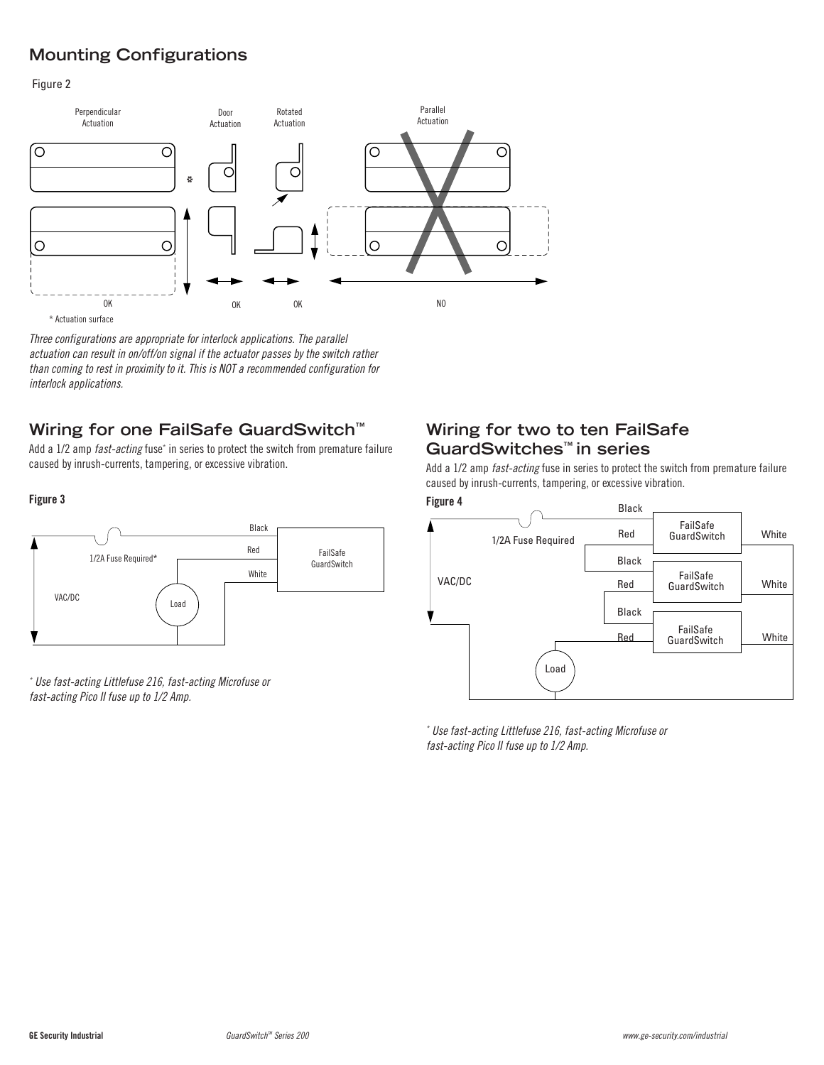# **Mounting Configurations**

Figure 2



Three configurations are appropriate for interlock applications. The parallel actuation can result in on/off/on signal if the actuator passes by the switch rather than coming to rest in proximity to it. This is NOT a recommended configuration for interlock applications.

# **Wiring for one FailSafe GuardSwitch™**

Add a 1/2 amp *fast-acting* fuse<sup>\*</sup> in series to protect the switch from premature failure caused by inrush-currents, tampering, or excessive vibration.



\* Use fast-acting Littlefuse 216, fast-acting Microfuse or fast-acting Pico II fuse up to 1/2 Amp.

## **Wiring for two to ten FailSafe GuardSwitches™ in series**

Add a 1/2 amp fast-acting fuse in series to protect the switch from premature failure caused by inrush-currents, tampering, or excessive vibration.



\* Use fast-acting Littlefuse 216, fast-acting Microfuse or fast-acting Pico II fuse up to 1/2 Amp.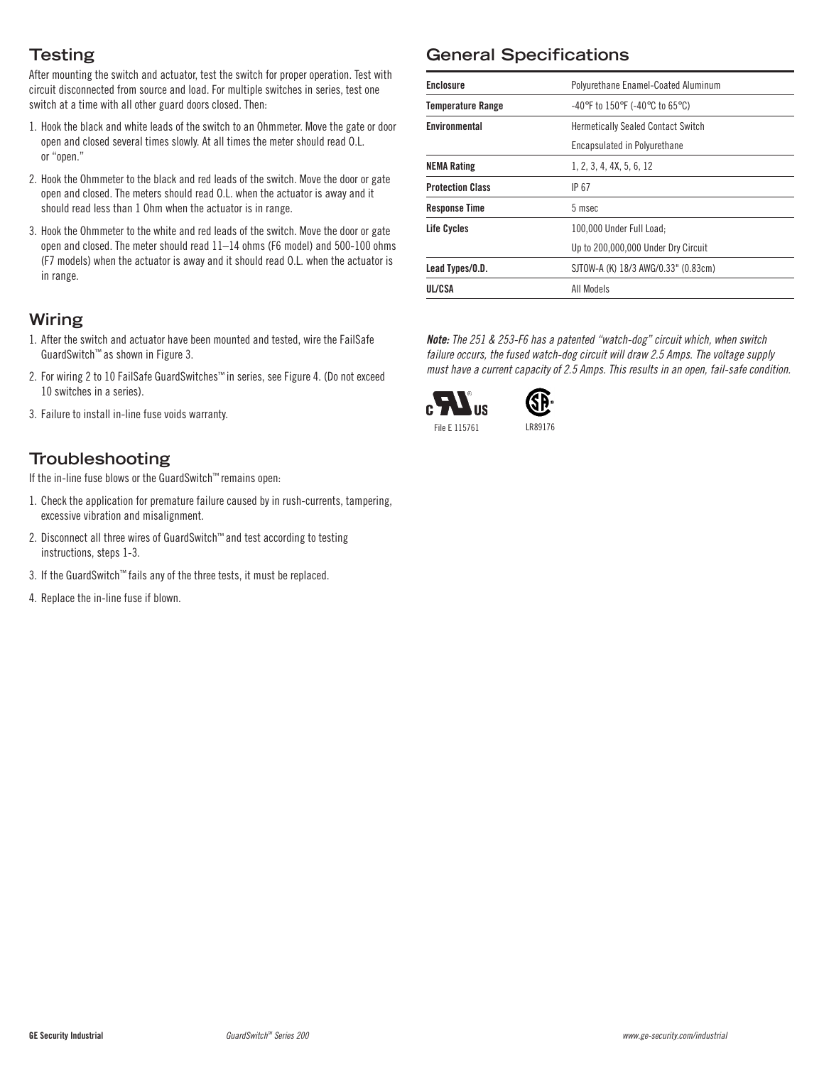# **Testing**

After mounting the switch and actuator, test the switch for proper operation. Test with circuit disconnected from source and load. For multiple switches in series, test one switch at a time with all other guard doors closed. Then:

- 1. Hook the black and white leads of the switch to an Ohmmeter. Move the gate or door open and closed several times slowly. At all times the meter should read O.L. or "open."
- 2. Hook the Ohmmeter to the black and red leads of the switch. Move the door or gate open and closed. The meters should read O.L. when the actuator is away and it should read less than 1 Ohm when the actuator is in range.
- 3. Hook the Ohmmeter to the white and red leads of the switch. Move the door or gate open and closed. The meter should read 11–14 ohms (F6 model) and 500-100 ohms (F7 models) when the actuator is away and it should read O.L. when the actuator is in range.

## **Wiring**

- 1. After the switch and actuator have been mounted and tested, wire the FailSafe GuardSwitch™ as shown in Figure 3.
- 2. For wiring 2 to 10 FailSafe GuardSwitches™ in series, see Figure 4. (Do not exceed 10 switches in a series).
- 3. Failure to install in-line fuse voids warranty.

## **Troubleshooting**

If the in-line fuse blows or the GuardSwitch™ remains open:

- 1. Check the application for premature failure caused by in rush-currents, tampering, excessive vibration and misalignment.
- 2. Disconnect all three wires of GuardSwitch™ and test according to testing instructions, steps 1-3.
- 3. If the GuardSwitch™ fails any of the three tests, it must be replaced.
- 4. Replace the in-line fuse if blown.

# **General Specifications**

| <b>Enclosure</b>         | Polyurethane Enamel-Coated Aluminum                                       |
|--------------------------|---------------------------------------------------------------------------|
| <b>Temperature Range</b> | $-40^{\circ}$ F to 150 $^{\circ}$ F (-40 $^{\circ}$ C to 65 $^{\circ}$ C) |
| Environmental            | <b>Hermetically Sealed Contact Switch</b>                                 |
|                          | Encapsulated in Polyurethane                                              |
| <b>NEMA Rating</b>       | 1, 2, 3, 4, 4X, 5, 6, 12                                                  |
| <b>Protection Class</b>  | IP 67                                                                     |
| <b>Response Time</b>     | 5 msec                                                                    |
| Life Cycles              | 100.000 Under Full Load:                                                  |
|                          | Up to 200,000,000 Under Dry Circuit                                       |
| Lead Types/O.D.          | SJTOW-A (K) 18/3 AWG/0.33" (0.83cm)                                       |
| UL/CSA                   | All Models                                                                |

**Note:** The 251 & 253-F6 has a patented "watch-dog" circuit which, when switch failure occurs, the fused watch-dog circuit will draw 2.5 Amps. The voltage supply must have a current capacity of 2.5 Amps. This results in an open, fail-safe condition.